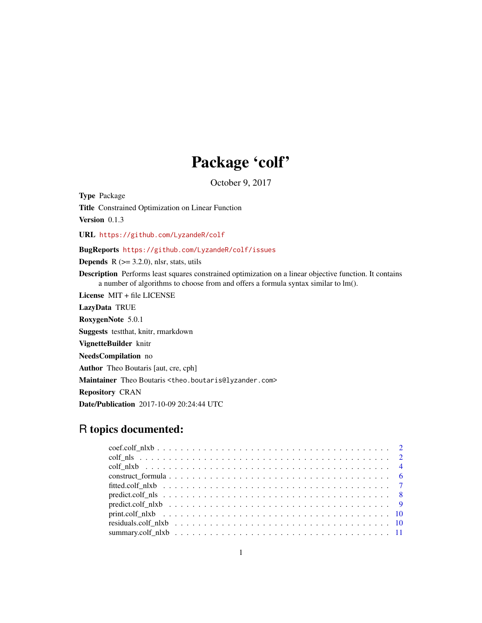# Package 'colf'

October 9, 2017

<span id="page-0-0"></span>Type Package

Title Constrained Optimization on Linear Function

Version 0.1.3

URL <https://github.com/LyzandeR/colf>

# BugReports <https://github.com/LyzandeR/colf/issues>

**Depends**  $R$  ( $> = 3.2.0$ ), nlsr, stats, utils

Description Performs least squares constrained optimization on a linear objective function. It contains a number of algorithms to choose from and offers a formula syntax similar to lm().

License MIT + file LICENSE LazyData TRUE

RoxygenNote 5.0.1

Suggests testthat, knitr, rmarkdown

VignetteBuilder knitr

NeedsCompilation no

Author Theo Boutaris [aut, cre, cph]

Maintainer Theo Boutaris <theo.boutaris@lyzander.com>

Repository CRAN

Date/Publication 2017-10-09 20:24:44 UTC

# R topics documented: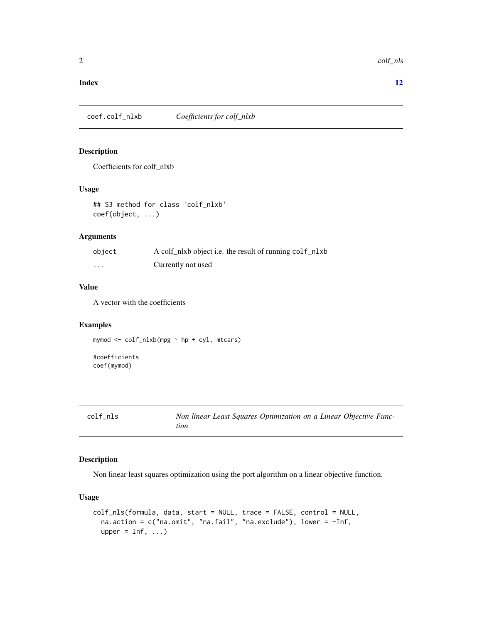#### <span id="page-1-0"></span>**Index** [12](#page-11-0)

coef.colf\_nlxb *Coefficients for colf\_nlxb*

# Description

Coefficients for colf\_nlxb

#### Usage

## S3 method for class 'colf\_nlxb' coef(object, ...)

#### Arguments

| object   | A colf_nlxb object i.e. the result of running colf_nlxb |
|----------|---------------------------------------------------------|
| $\cdots$ | Currently not used                                      |

#### Value

A vector with the coefficients

# Examples

mymod <- colf\_nlxb(mpg ~ hp + cyl, mtcars)

#coefficients coef(mymod)

| CO 1 |  | n i | ╮ |
|------|--|-----|---|
|------|--|-----|---|

Non linear Least Squares Optimization on a Linear Objective Func*tion*

### Description

Non linear least squares optimization using the port algorithm on a linear objective function.

# Usage

```
colf_nls(formula, data, start = NULL, trace = FALSE, control = NULL,
 na.action = c("na.omit", "na.fail", "na.exclude"), lower = -Inf,
 upper = Inf, ...
```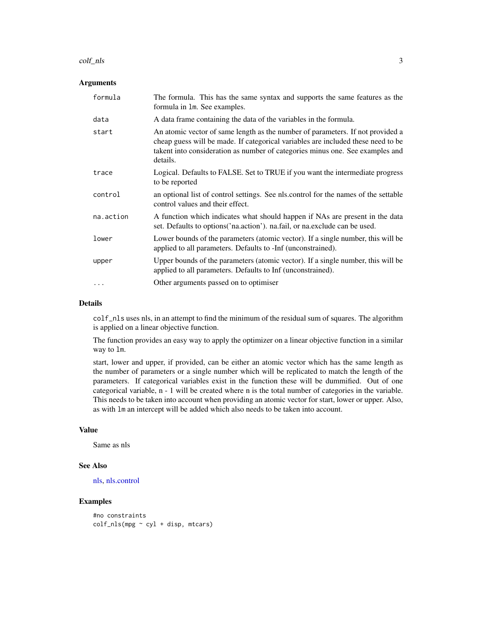#### <span id="page-2-0"></span>colf\_nls 3

#### Arguments

| formula   | The formula. This has the same syntax and supports the same features as the<br>formula in 1m. See examples.                                                                                                                                                     |
|-----------|-----------------------------------------------------------------------------------------------------------------------------------------------------------------------------------------------------------------------------------------------------------------|
| data      | A data frame containing the data of the variables in the formula.                                                                                                                                                                                               |
| start     | An atomic vector of same length as the number of parameters. If not provided a<br>cheap guess will be made. If categorical variables are included these need to be<br>takent into consideration as number of categories minus one. See examples and<br>details. |
| trace     | Logical. Defaults to FALSE. Set to TRUE if you want the intermediate progress<br>to be reported                                                                                                                                                                 |
| control   | an optional list of control settings. See nls.control for the names of the settable<br>control values and their effect.                                                                                                                                         |
| na.action | A function which indicates what should happen if NAs are present in the data<br>set. Defaults to options ('na.action'). na.fail, or na.exclude can be used.                                                                                                     |
| lower     | Lower bounds of the parameters (atomic vector). If a single number, this will be<br>applied to all parameters. Defaults to -Inf (unconstrained).                                                                                                                |
| upper     | Upper bounds of the parameters (atomic vector). If a single number, this will be<br>applied to all parameters. Defaults to Inf (unconstrained).                                                                                                                 |
| .         | Other arguments passed on to optimiser                                                                                                                                                                                                                          |

#### Details

colf\_nls uses nls, in an attempt to find the minimum of the residual sum of squares. The algorithm is applied on a linear objective function.

The function provides an easy way to apply the optimizer on a linear objective function in a similar way to lm.

start, lower and upper, if provided, can be either an atomic vector which has the same length as the number of parameters or a single number which will be replicated to match the length of the parameters. If categorical variables exist in the function these will be dummified. Out of one categorical variable, n - 1 will be created where n is the total number of categories in the variable. This needs to be taken into account when providing an atomic vector for start, lower or upper. Also, as with lm an intercept will be added which also needs to be taken into account.

#### Value

Same as nls

#### See Also

[nls,](#page-0-0) [nls.control](#page-0-0)

```
#no constraints
\text{colf}_\text{nls(mpg} \sim \text{cyl} + \text{disp}, \text{mtcars})
```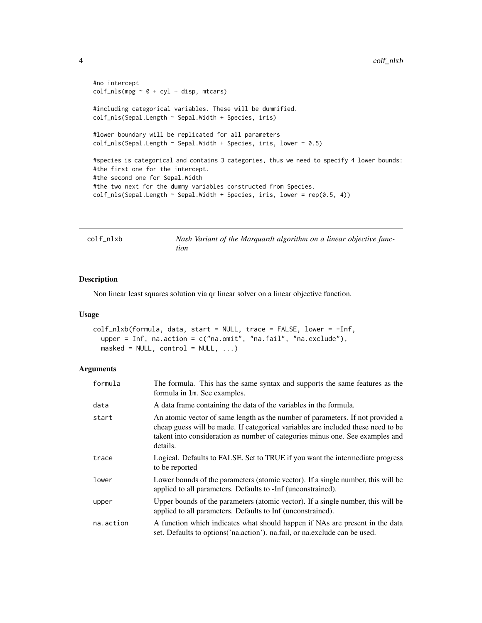```
#no intercept
\text{colf}_\text{nls(mpg} \sim 0 + \text{cyl} + \text{disp}, \text{mtcars})#including categorical variables. These will be dummified.
colf_nls(Sepal.Length ~ Sepal.Width + Species, iris)
#lower boundary will be replicated for all parameters
\text{colf} \_ \text{nls}(\text{Sepal}. \text{Length} \sim \text{Sepal}. \text{Width} + \text{Species}, \text{iris}, \text{lower} = 0.5)#species is categorical and contains 3 categories, thus we need to specify 4 lower bounds:
#the first one for the intercept.
#the second one for Sepal.Width
#the two next for the dummy variables constructed from Species.
\text{colf} \text{-} \text{nls}(\text{Sepal}. \text{Length} \sim \text{Sepal}. \text{Width} + \text{Species}, \text{iris}, \text{ lower} = \text{rep}(0.5, 4))
```

| colf nlxb |  |  |  |  |
|-----------|--|--|--|--|
|-----------|--|--|--|--|

Nash Variant of the Marquardt algorithm on a linear objective func*tion*

#### Description

Non linear least squares solution via qr linear solver on a linear objective function.

#### Usage

```
colf_nlxb(formula, data, start = NULL, trace = FALSE, lower = -Inf,
  upper = Inf, na.action = c("na.omit", "na.fail", "na.exclude"),masked = NULL, control = NULL, ...)
```
#### Arguments

| formula   | The formula. This has the same syntax and supports the same features as the<br>formula in 1m. See examples.                                                                                                                                                     |
|-----------|-----------------------------------------------------------------------------------------------------------------------------------------------------------------------------------------------------------------------------------------------------------------|
| data      | A data frame containing the data of the variables in the formula.                                                                                                                                                                                               |
| start     | An atomic vector of same length as the number of parameters. If not provided a<br>cheap guess will be made. If categorical variables are included these need to be<br>takent into consideration as number of categories minus one. See examples and<br>details. |
| trace     | Logical. Defaults to FALSE. Set to TRUE if you want the intermediate progress<br>to be reported                                                                                                                                                                 |
| lower     | Lower bounds of the parameters (atomic vector). If a single number, this will be<br>applied to all parameters. Defaults to -Inf (unconstrained).                                                                                                                |
| upper     | Upper bounds of the parameters (atomic vector). If a single number, this will be<br>applied to all parameters. Defaults to Inf (unconstrained).                                                                                                                 |
| na.action | A function which indicates what should happen if NAs are present in the data<br>set. Defaults to options ('na.action'). na.fail, or na.exclude can be used.                                                                                                     |

<span id="page-3-0"></span>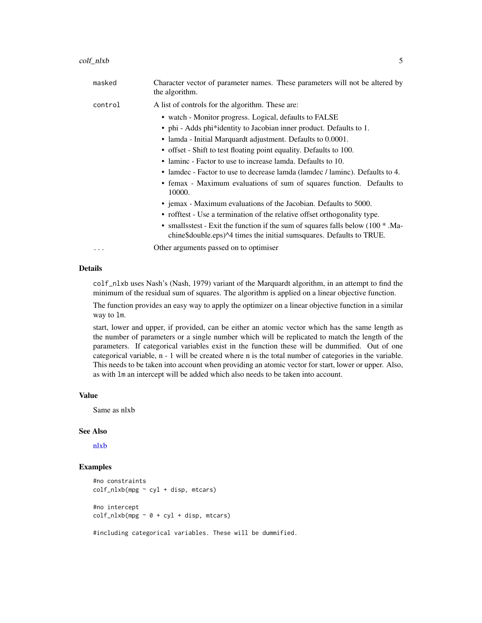| rs will not be alt |  |  |
|--------------------|--|--|

<span id="page-4-0"></span>masked Character vector of parameter names. These parameters will not be altered by the algorithm. control A list of controls for the algorithm. These are: • watch - Monitor progress. Logical, defaults to FALSE • phi - Adds phi\*identity to Jacobian inner product. Defaults to 1. • lamda - Initial Marquardt adjustment. Defaults to 0.0001. • offset - Shift to test floating point equality. Defaults to 100. • laminc - Factor to use to increase lamda. Defaults to 10. • lamdec - Factor to use to decrease lamda (lamdec / laminc). Defaults to 4. • femax - Maximum evaluations of sum of squares function. Defaults to 10000. • jemax - Maximum evaluations of the Jacobian. Defaults to 5000. • rofftest - Use a termination of the relative offset orthogonality type. • smallsstest - Exit the function if the sum of squares falls below (100  $*$ ). Machine\$double.eps)^4 times the initial sumsquares. Defaults to TRUE. ... Other arguments passed on to optimiser

### Details

colf\_nlxb uses Nash's (Nash, 1979) variant of the Marquardt algorithm, in an attempt to find the minimum of the residual sum of squares. The algorithm is applied on a linear objective function.

The function provides an easy way to apply the optimizer on a linear objective function in a similar way to lm.

start, lower and upper, if provided, can be either an atomic vector which has the same length as the number of parameters or a single number which will be replicated to match the length of the parameters. If categorical variables exist in the function these will be dummified. Out of one categorical variable, n - 1 will be created where n is the total number of categories in the variable. This needs to be taken into account when providing an atomic vector for start, lower or upper. Also, as with lm an intercept will be added which also needs to be taken into account.

#### Value

Same as nlxb

#### See Also

[nlxb](#page-0-0)

#### Examples

```
#no constraints
\text{colf\_nlxb}(\text{mpg} \sim \text{cyl} + \text{disp}, \text{mtcars})#no intercept
\text{colf\_nlxb}(\text{mpg} \sim 0 + \text{cyl} + \text{disp}, \text{mtcars})
```
#including categorical variables. These will be dummified.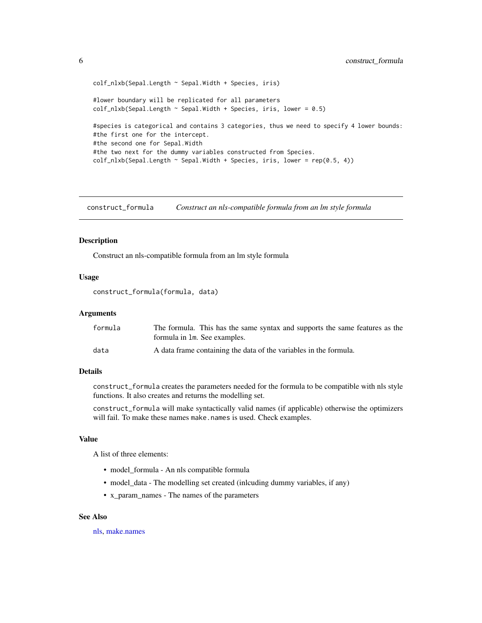```
colf_nlxb(Sepal.Length ~ Sepal.Width + Species, iris)
#lower boundary will be replicated for all parameters
\text{colf\_nlxb(Sepal.Length} \sim \text{Sepal.Width} + \text{Species}, \text{iris}, \text{lower} = 0.5)#species is categorical and contains 3 categories, thus we need to specify 4 lower bounds:
#the first one for the intercept.
#the second one for Sepal.Width
#the two next for the dummy variables constructed from Species.
\text{colf\_nlxb(Sepal.Length } \sim \text{Sepal.Width } + \text{ Species}, \text{iris}, \text{lower} = \text{rep}(0.5, 4))
```
construct\_formula *Construct an nls-compatible formula from an lm style formula*

#### Description

Construct an nls-compatible formula from an lm style formula

#### Usage

```
construct_formula(formula, data)
```
#### Arguments

| formula | The formula. This has the same syntax and supports the same features as the<br>formula in 1m. See examples. |
|---------|-------------------------------------------------------------------------------------------------------------|
| data    | A data frame containing the data of the variables in the formula.                                           |

#### Details

construct\_formula creates the parameters needed for the formula to be compatible with nls style functions. It also creates and returns the modelling set.

construct\_formula will make syntactically valid names (if applicable) otherwise the optimizers will fail. To make these names make.names is used. Check examples.

#### Value

A list of three elements:

- model\_formula An nls compatible formula
- model\_data The modelling set created (inlcuding dummy variables, if any)
- x\_param\_names The names of the parameters

#### See Also

[nls,](#page-0-0) [make.names](#page-0-0)

<span id="page-5-0"></span>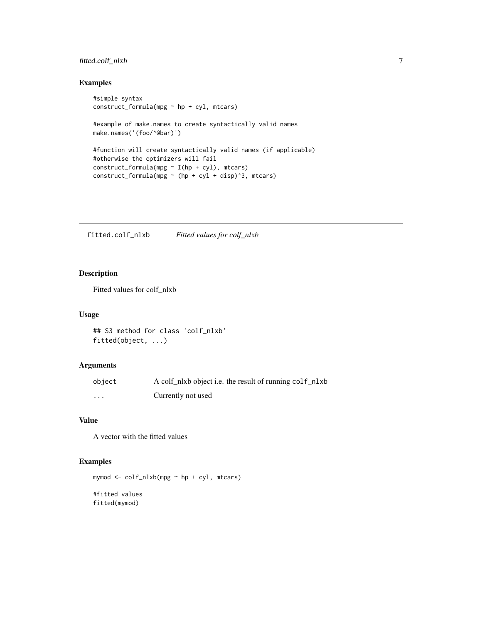# <span id="page-6-0"></span>fitted.colf\_nlxb 7

# Examples

```
#simple syntax
construct_formula(mpg ~ hp + cyl, mtcars)
#example of make.names to create syntactically valid names
make.names('(foo/^@bar)')
#function will create syntactically valid names (if applicable)
#otherwise the optimizers will fail
construct_formula(mpg ~ I(hp + cyl), mtcars)
construct_formula(mpg \sim (hp + cyl + disp)^3, mtcars)
```
fitted.colf\_nlxb *Fitted values for colf\_nlxb*

# Description

Fitted values for colf\_nlxb

#### Usage

```
## S3 method for class 'colf_nlxb'
fitted(object, ...)
```
#### Arguments

| object   | A colf_nlxb object i.e. the result of running colf_nlxb |
|----------|---------------------------------------------------------|
| $\cdots$ | Currently not used                                      |

# Value

A vector with the fitted values

```
mymod <- colf_nlxb(mpg ~ hp + cyl, mtcars)
#fitted values
fitted(mymod)
```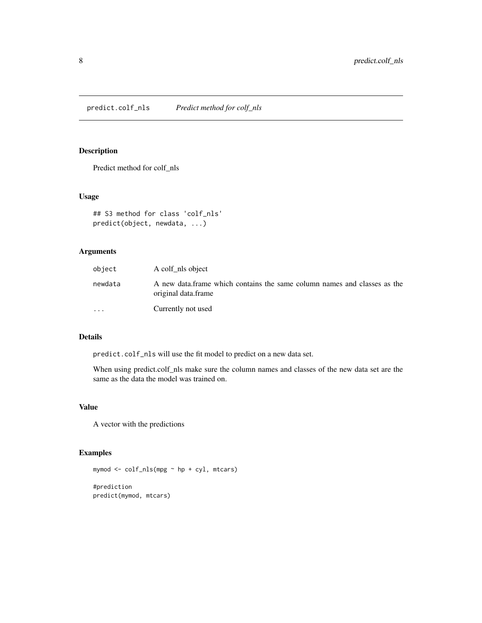<span id="page-7-0"></span>predict.colf\_nls *Predict method for colf\_nls*

# Description

Predict method for colf\_nls

#### Usage

```
## S3 method for class 'colf_nls'
predict(object, newdata, ...)
```
# Arguments

| object    | A colf_nls object                                                                               |
|-----------|-------------------------------------------------------------------------------------------------|
| newdata   | A new data frame which contains the same column names and classes as the<br>original data.frame |
| $\ddotsc$ | Currently not used                                                                              |

#### Details

predict.colf\_nls will use the fit model to predict on a new data set.

When using predict.colf\_nls make sure the column names and classes of the new data set are the same as the data the model was trained on.

#### Value

A vector with the predictions

```
mymod <- colf_nls(mpg ~ hp + cyl, mtcars)
#prediction
predict(mymod, mtcars)
```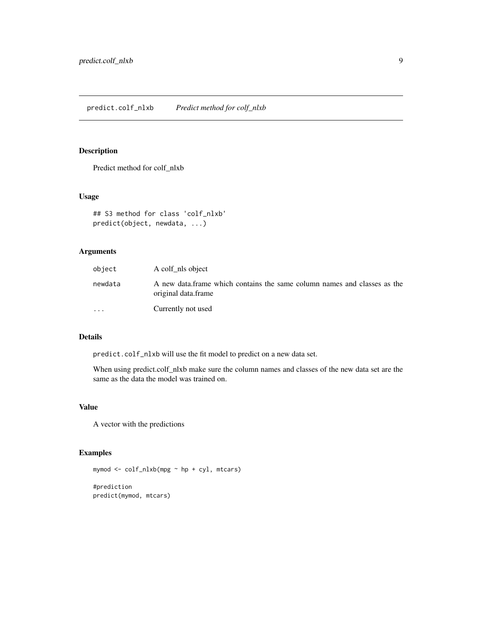# <span id="page-8-0"></span>Description

Predict method for colf\_nlxb

#### Usage

```
## S3 method for class 'colf_nlxb'
predict(object, newdata, ...)
```
# Arguments

| object    | A colf_nls object                                                                               |
|-----------|-------------------------------------------------------------------------------------------------|
| newdata   | A new data frame which contains the same column names and classes as the<br>original data.frame |
| $\ddotsc$ | Currently not used                                                                              |

#### Details

predict.colf\_nlxb will use the fit model to predict on a new data set.

When using predict.colf\_nlxb make sure the column names and classes of the new data set are the same as the data the model was trained on.

#### Value

A vector with the predictions

```
mymod <- colf_nlxb(mpg ~ hp + cyl, mtcars)
#prediction
predict(mymod, mtcars)
```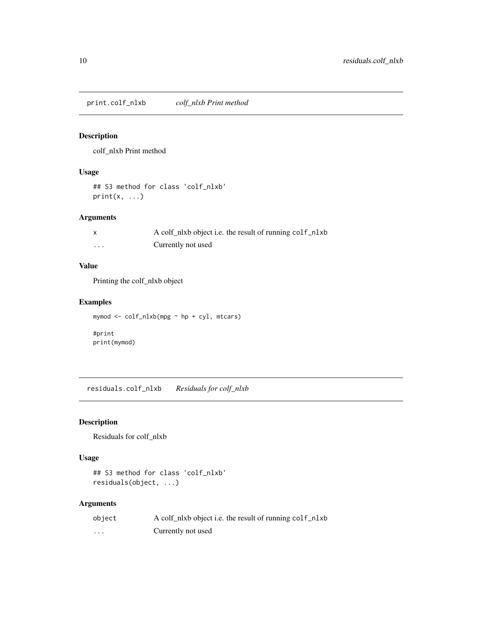<span id="page-9-0"></span>print.colf\_nlxb *colf\_nlxb Print method*

# Description

colf\_nlxb Print method

# Usage

```
## S3 method for class 'colf_nlxb'
print(x, \ldots)
```
#### Arguments

|                         | A colf_nlxb object i.e. the result of running colf_nlxb |
|-------------------------|---------------------------------------------------------|
| $\cdot$ $\cdot$ $\cdot$ | Currently not used                                      |

# Value

Printing the colf\_nlxb object

# Examples

```
mymod <- colf_nlxb(mpg ~ hp + cyl, mtcars)
```
#print print(mymod)

residuals.colf\_nlxb *Residuals for colf\_nlxb*

# Description

Residuals for colf\_nlxb

# Usage

```
## S3 method for class 'colf_nlxb'
residuals(object, ...)
```
# Arguments

| object | A colf nlxb object i.e. the result of running colf nlxb |
|--------|---------------------------------------------------------|
| .      | Currently not used                                      |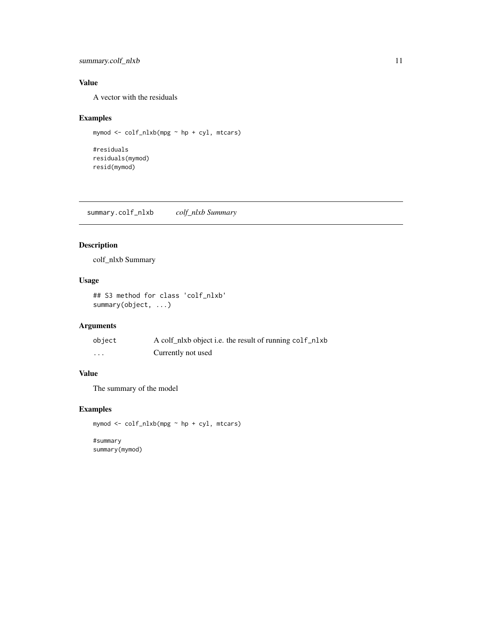# <span id="page-10-0"></span>summary.colf\_nlxb 11

# Value

A vector with the residuals

# Examples

```
mymod <- colf_nlxb(mpg ~ hp + cyl, mtcars)
```
#residuals residuals(mymod) resid(mymod)

summary.colf\_nlxb *colf\_nlxb Summary*

# Description

colf\_nlxb Summary

# Usage

## S3 method for class 'colf\_nlxb' summary(object, ...)

# Arguments

| object | A colf_nlxb object i.e. the result of running colf_nlxb |
|--------|---------------------------------------------------------|
| .      | Currently not used                                      |

# Value

The summary of the model

# Examples

mymod <- colf\_nlxb(mpg ~ hp + cyl, mtcars)

#summary summary(mymod)